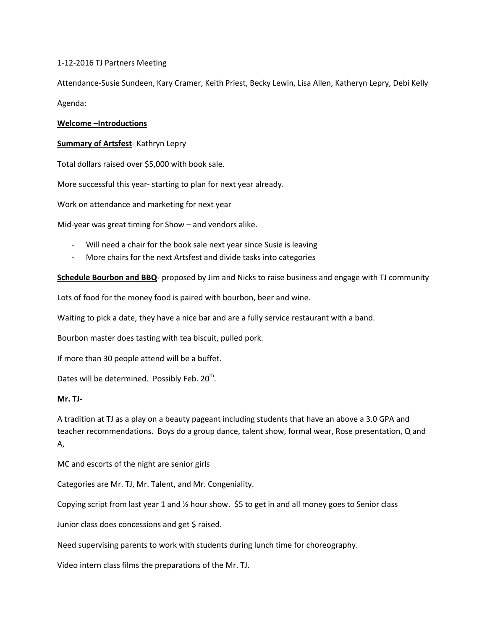1-12-2016 TJ Partners Meeting

Attendance-Susie Sundeen, Kary Cramer, Keith Priest, Becky Lewin, Lisa Allen, Katheryn Lepry, Debi Kelly Agenda:

### **Welcome –Introductions**

### **Summary of Artsfest**- Kathryn Lepry

Total dollars raised over \$5,000 with book sale.

More successful this year- starting to plan for next year already.

Work on attendance and marketing for next year

Mid-year was great timing for Show – and vendors alike.

- Will need a chair for the book sale next year since Susie is leaving
- More chairs for the next Artsfest and divide tasks into categories

**Schedule Bourbon and BBQ**- proposed by Jim and Nicks to raise business and engage with TJ community

Lots of food for the money food is paired with bourbon, beer and wine.

Waiting to pick a date, they have a nice bar and are a fully service restaurant with a band.

Bourbon master does tasting with tea biscuit, pulled pork.

If more than 30 people attend will be a buffet.

Dates will be determined. Possibly Feb.  $20^{th}$ .

#### **Mr. TJ-**

A tradition at TJ as a play on a beauty pageant including students that have an above a 3.0 GPA and teacher recommendations. Boys do a group dance, talent show, formal wear, Rose presentation, Q and A,

MC and escorts of the night are senior girls

Categories are Mr. TJ, Mr. Talent, and Mr. Congeniality.

Copying script from last year 1 and  $\frac{1}{2}$  hour show. \$5 to get in and all money goes to Senior class

Junior class does concessions and get \$ raised.

Need supervising parents to work with students during lunch time for choreography.

Video intern class films the preparations of the Mr. TJ.